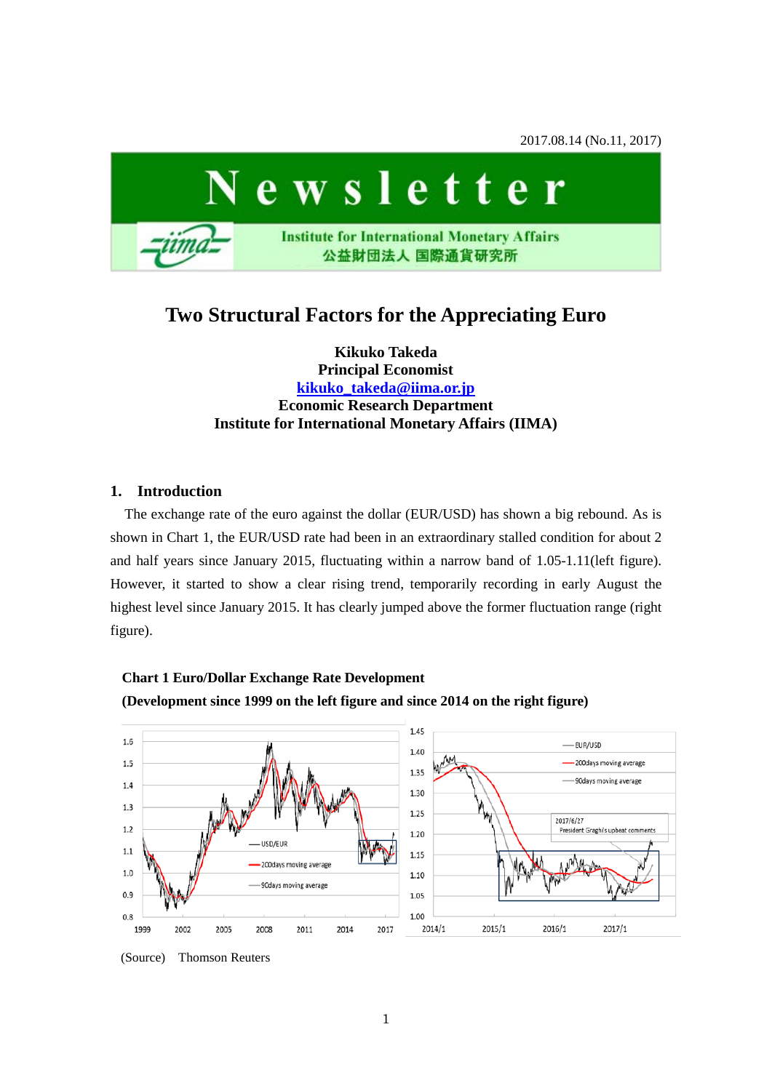2017.08.14 (No.11, 2017)



# **Two Structural Factors for the Appreciating Euro**

**Kikuko Takeda Principal Economist [kikuko\\_takeda@iima.or.jp](mailto:kikuko_takeda@iima.or.jp) Economic Research Department Institute for International Monetary Affairs (IIMA)**

#### **1. Introduction**

The exchange rate of the euro against the dollar (EUR/USD) has shown a big rebound. As is shown in Chart 1, the EUR/USD rate had been in an extraordinary stalled condition for about 2 and half years since January 2015, fluctuating within a narrow band of 1.05-1.11(left figure). However, it started to show a clear rising trend, temporarily recording in early August the highest level since January 2015. It has clearly jumped above the former fluctuation range (right figure).



### **Chart 1 Euro/Dollar Exchange Rate Development**

<sup>(</sup>Source) Thomson Reuters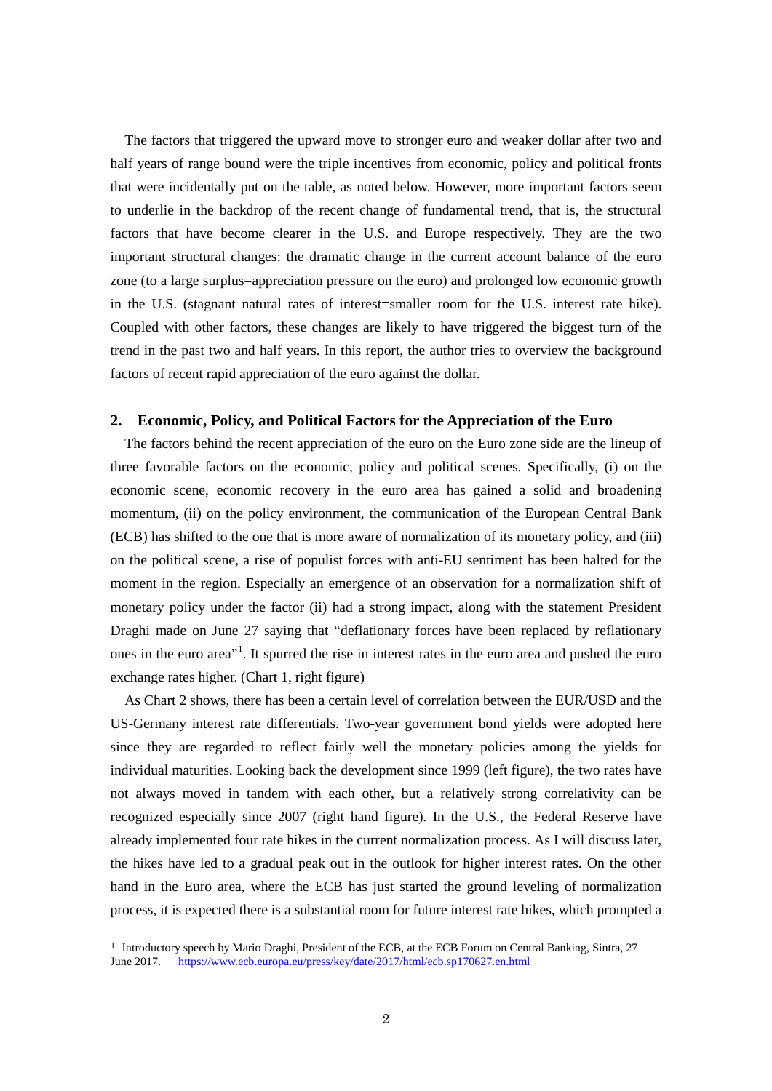The factors that triggered the upward move to stronger euro and weaker dollar after two and half years of range bound were the triple incentives from economic, policy and political fronts that were incidentally put on the table, as noted below. However, more important factors seem to underlie in the backdrop of the recent change of fundamental trend, that is, the structural factors that have become clearer in the U.S. and Europe respectively. They are the two important structural changes: the dramatic change in the current account balance of the euro zone (to a large surplus=appreciation pressure on the euro) and prolonged low economic growth in the U.S. (stagnant natural rates of interest=smaller room for the U.S. interest rate hike). Coupled with other factors, these changes are likely to have triggered the biggest turn of the trend in the past two and half years. In this report, the author tries to overview the background factors of recent rapid appreciation of the euro against the dollar.

#### **2. Economic, Policy, and Political Factors for the Appreciation of the Euro**

The factors behind the recent appreciation of the euro on the Euro zone side are the lineup of three favorable factors on the economic, policy and political scenes. Specifically, (i) on the economic scene, economic recovery in the euro area has gained a solid and broadening momentum, (ii) on the policy environment, the communication of the European Central Bank (ECB) has shifted to the one that is more aware of normalization of its monetary policy, and (iii) on the political scene, a rise of populist forces with anti-EU sentiment has been halted for the moment in the region. Especially an emergence of an observation for a normalization shift of monetary policy under the factor (ii) had a strong impact, along with the statement President Draghi made on June 27 saying that "deflationary forces have been replaced by reflationary ones in the euro area"<sup>[1](#page-1-0)</sup>. It spurred the rise in interest rates in the euro area and pushed the euro exchange rates higher. (Chart 1, right figure)

As Chart 2 shows, there has been a certain level of correlation between the EUR/USD and the US-Germany interest rate differentials. Two-year government bond yields were adopted here since they are regarded to reflect fairly well the monetary policies among the yields for individual maturities. Looking back the development since 1999 (left figure), the two rates have not always moved in tandem with each other, but a relatively strong correlativity can be recognized especially since 2007 (right hand figure). In the U.S., the Federal Reserve have already implemented four rate hikes in the current normalization process. As I will discuss later, the hikes have led to a gradual peak out in the outlook for higher interest rates. On the other hand in the Euro area, where the ECB has just started the ground leveling of normalization process, it is expected there is a substantial room for future interest rate hikes, which prompted a

<span id="page-1-0"></span> <sup>1</sup> Introductory speech by Mario Draghi, President of the ECB, at the ECB Forum on Central Banking, Sintra, 27 June 2017. <https://www.ecb.europa.eu/press/key/date/2017/html/ecb.sp170627.en.html>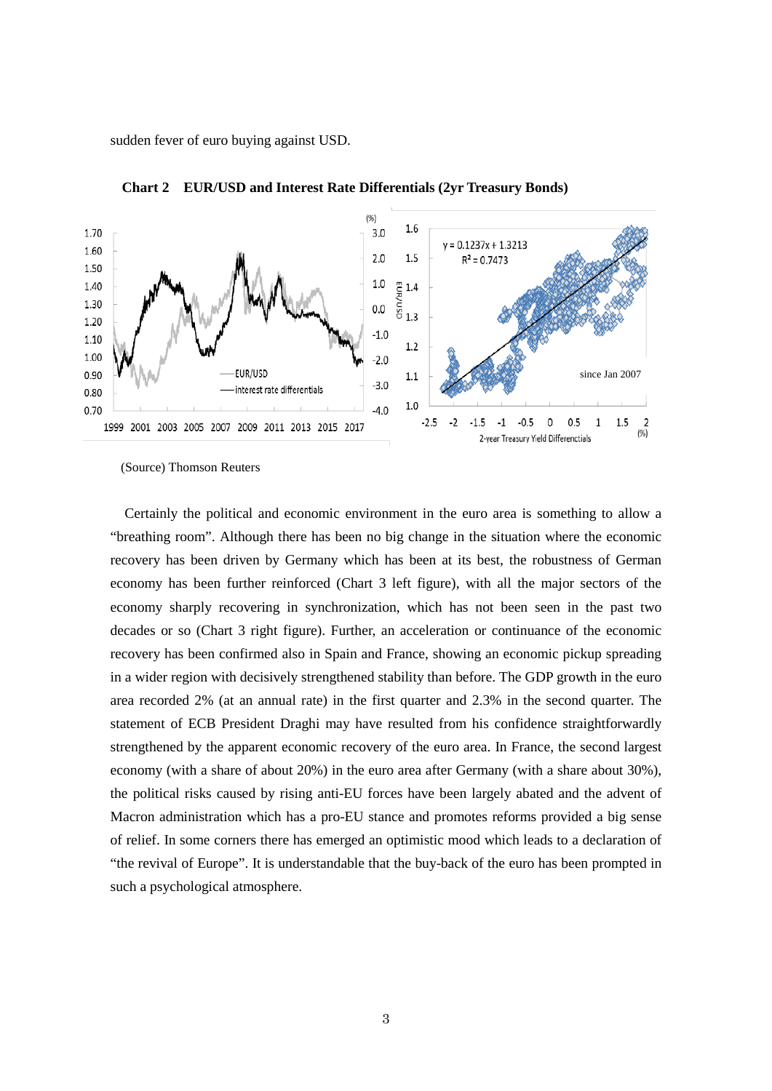sudden fever of euro buying against USD.



**Chart 2 EUR/USD and Interest Rate Differentials (2yr Treasury Bonds)**

(Source) Thomson Reuters

Certainly the political and economic environment in the euro area is something to allow a "breathing room". Although there has been no big change in the situation where the economic recovery has been driven by Germany which has been at its best, the robustness of German economy has been further reinforced (Chart 3 left figure), with all the major sectors of the economy sharply recovering in synchronization, which has not been seen in the past two decades or so (Chart 3 right figure). Further, an acceleration or continuance of the economic recovery has been confirmed also in Spain and France, showing an economic pickup spreading in a wider region with decisively strengthened stability than before. The GDP growth in the euro area recorded 2% (at an annual rate) in the first quarter and 2.3% in the second quarter. The statement of ECB President Draghi may have resulted from his confidence straightforwardly strengthened by the apparent economic recovery of the euro area. In France, the second largest economy (with a share of about 20%) in the euro area after Germany (with a share about 30%), the political risks caused by rising anti-EU forces have been largely abated and the advent of Macron administration which has a pro-EU stance and promotes reforms provided a big sense of relief. In some corners there has emerged an optimistic mood which leads to a declaration of "the revival of Europe". It is understandable that the buy-back of the euro has been prompted in such a psychological atmosphere.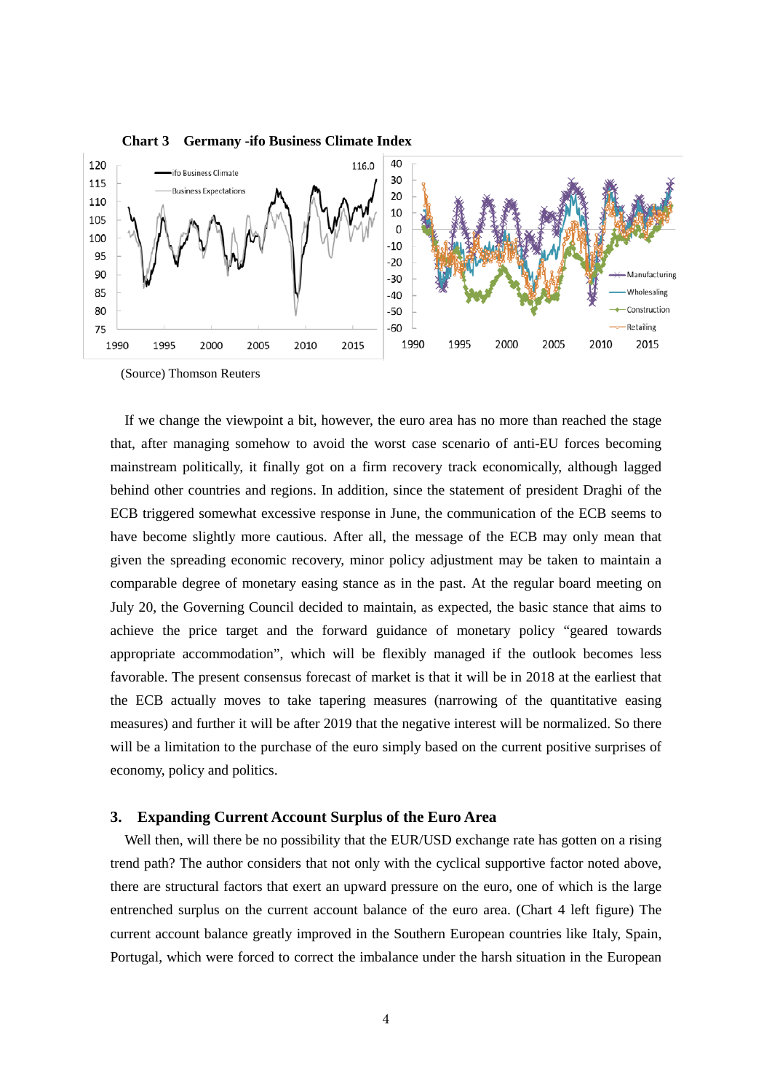

**Chart 3 Germany -ifo Business Climate Index**

(Source) Thomson Reuters

If we change the viewpoint a bit, however, the euro area has no more than reached the stage that, after managing somehow to avoid the worst case scenario of anti-EU forces becoming mainstream politically, it finally got on a firm recovery track economically, although lagged behind other countries and regions. In addition, since the statement of president Draghi of the ECB triggered somewhat excessive response in June, the communication of the ECB seems to have become slightly more cautious. After all, the message of the ECB may only mean that given the spreading economic recovery, minor policy adjustment may be taken to maintain a comparable degree of monetary easing stance as in the past. At the regular board meeting on July 20, the Governing Council decided to maintain, as expected, the basic stance that aims to achieve the price target and the forward guidance of monetary policy "geared towards appropriate accommodation", which will be flexibly managed if the outlook becomes less favorable. The present consensus forecast of market is that it will be in 2018 at the earliest that the ECB actually moves to take tapering measures (narrowing of the quantitative easing measures) and further it will be after 2019 that the negative interest will be normalized. So there will be a limitation to the purchase of the euro simply based on the current positive surprises of economy, policy and politics.

#### **3. Expanding Current Account Surplus of the Euro Area**

Well then, will there be no possibility that the EUR/USD exchange rate has gotten on a rising trend path? The author considers that not only with the cyclical supportive factor noted above, there are structural factors that exert an upward pressure on the euro, one of which is the large entrenched surplus on the current account balance of the euro area. (Chart 4 left figure) The current account balance greatly improved in the Southern European countries like Italy, Spain, Portugal, which were forced to correct the imbalance under the harsh situation in the European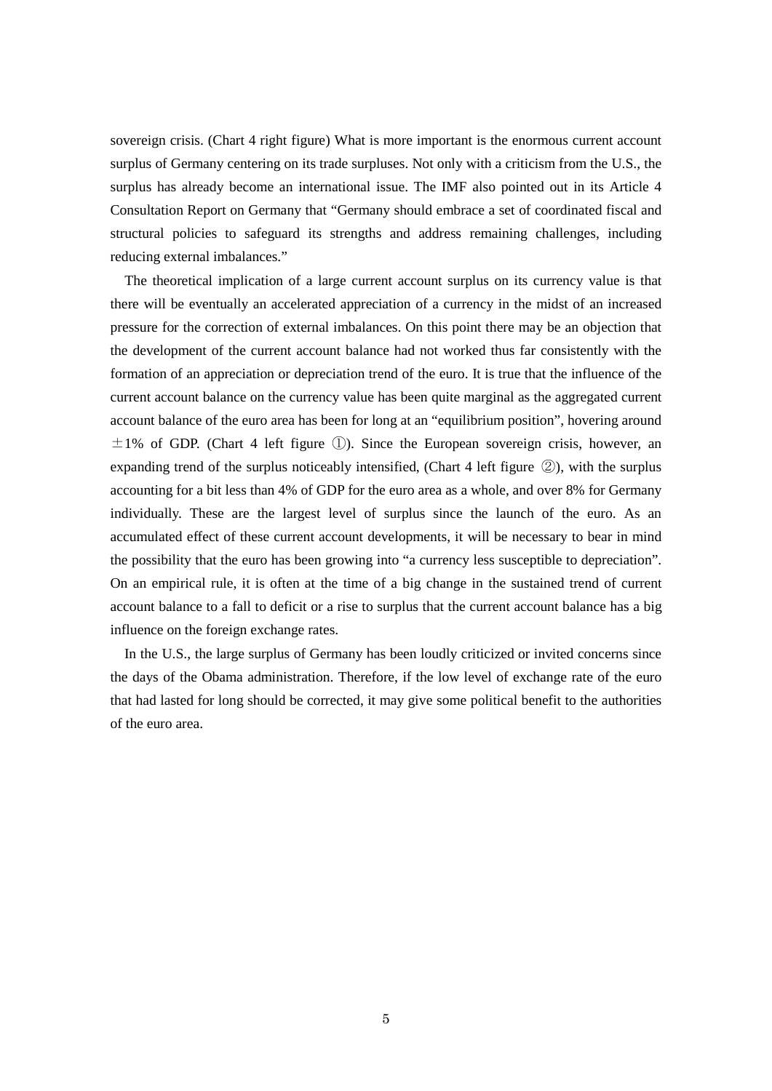sovereign crisis. (Chart 4 right figure) What is more important is the enormous current account surplus of Germany centering on its trade surpluses. Not only with a criticism from the U.S., the surplus has already become an international issue. The IMF also pointed out in its Article 4 Consultation Report on Germany that "Germany should embrace a set of coordinated fiscal and structural policies to safeguard its strengths and address remaining challenges, including reducing external imbalances."

The theoretical implication of a large current account surplus on its currency value is that there will be eventually an accelerated appreciation of a currency in the midst of an increased pressure for the correction of external imbalances. On this point there may be an objection that the development of the current account balance had not worked thus far consistently with the formation of an appreciation or depreciation trend of the euro. It is true that the influence of the current account balance on the currency value has been quite marginal as the aggregated current account balance of the euro area has been for long at an "equilibrium position", hovering around  $\pm 1\%$  of GDP. (Chart 4 left figure  $\mathbb{D}$ ). Since the European sovereign crisis, however, an expanding trend of the surplus noticeably intensified, (Chart 4 left figure ②), with the surplus accounting for a bit less than 4% of GDP for the euro area as a whole, and over 8% for Germany individually. These are the largest level of surplus since the launch of the euro. As an accumulated effect of these current account developments, it will be necessary to bear in mind the possibility that the euro has been growing into "a currency less susceptible to depreciation". On an empirical rule, it is often at the time of a big change in the sustained trend of current account balance to a fall to deficit or a rise to surplus that the current account balance has a big influence on the foreign exchange rates.

In the U.S., the large surplus of Germany has been loudly criticized or invited concerns since the days of the Obama administration. Therefore, if the low level of exchange rate of the euro that had lasted for long should be corrected, it may give some political benefit to the authorities of the euro area.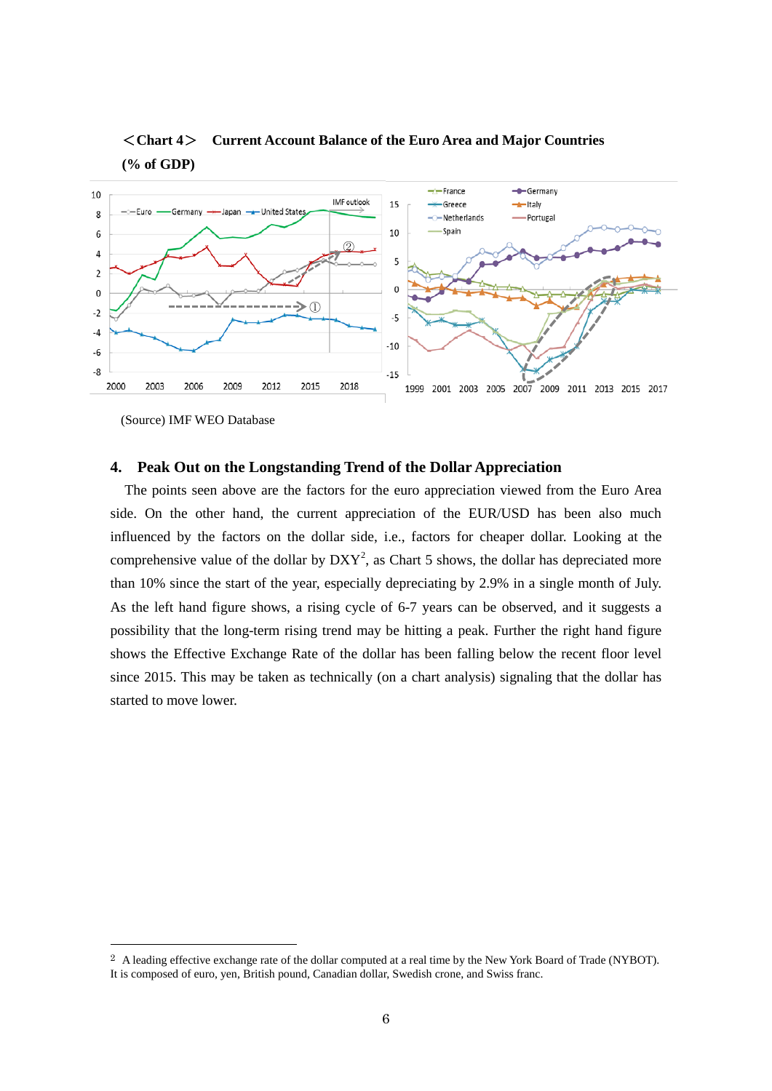

## <**Chart 4**> **Current Account Balance of the Euro Area and Major Countries (% of GDP)**

(Source) IMF WEO Database

### **4. Peak Out on the Longstanding Trend of the Dollar Appreciation**

The points seen above are the factors for the euro appreciation viewed from the Euro Area side. On the other hand, the current appreciation of the EUR/USD has been also much influenced by the factors on the dollar side, i.e., factors for cheaper dollar. Looking at the comprehensive value of the dollar by  $DXY^2$  $DXY^2$ , as Chart 5 shows, the dollar has depreciated more than 10% since the start of the year, especially depreciating by 2.9% in a single month of July. As the left hand figure shows, a rising cycle of 6-7 years can be observed, and it suggests a possibility that the long-term rising trend may be hitting a peak. Further the right hand figure shows the Effective Exchange Rate of the dollar has been falling below the recent floor level since 2015. This may be taken as technically (on a chart analysis) signaling that the dollar has started to move lower.

<span id="page-5-0"></span><sup>&</sup>lt;sup>2</sup> A leading effective exchange rate of the dollar computed at a real time by the New York Board of Trade (NYBOT). It is composed of euro, yen, British pound, Canadian dollar, Swedish crone, and Swiss franc.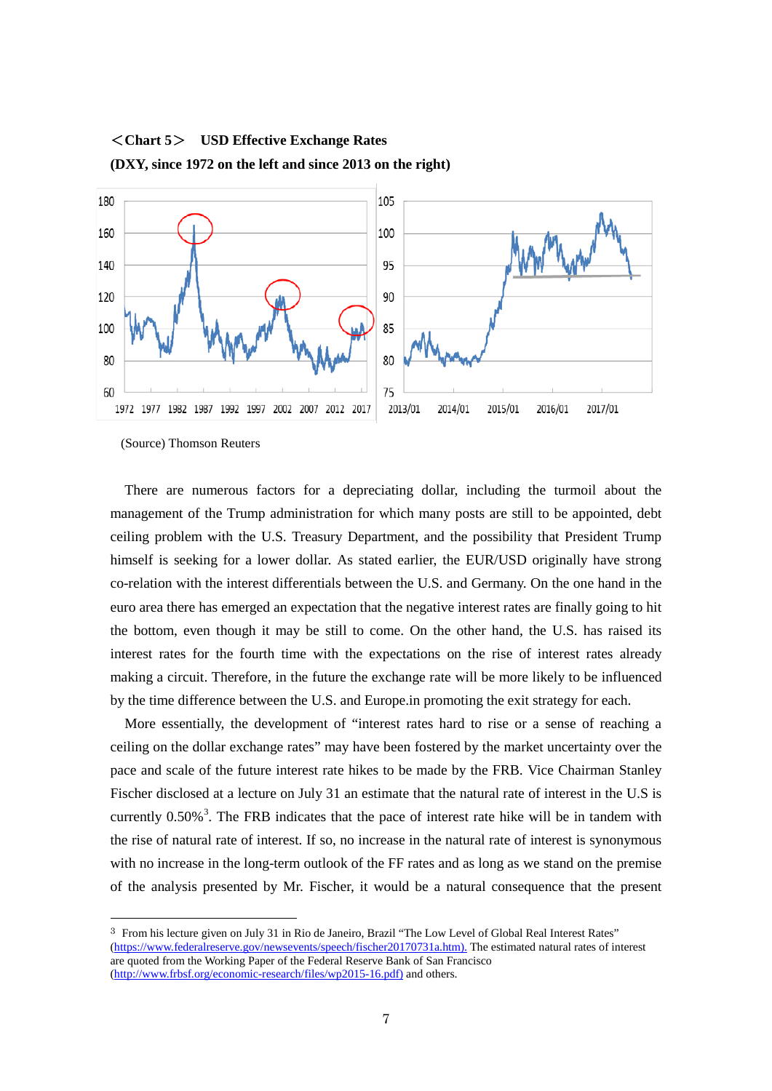

<**Chart 5**> **USD Effective Exchange Rates (DXY, since 1972 on the left and since 2013 on the right)**

(Source) Thomson Reuters

There are numerous factors for a depreciating dollar, including the turmoil about the management of the Trump administration for which many posts are still to be appointed, debt ceiling problem with the U.S. Treasury Department, and the possibility that President Trump himself is seeking for a lower dollar. As stated earlier, the EUR/USD originally have strong co-relation with the interest differentials between the U.S. and Germany. On the one hand in the euro area there has emerged an expectation that the negative interest rates are finally going to hit the bottom, even though it may be still to come. On the other hand, the U.S. has raised its interest rates for the fourth time with the expectations on the rise of interest rates already making a circuit. Therefore, in the future the exchange rate will be more likely to be influenced by the time difference between the U.S. and Europe.in promoting the exit strategy for each.

More essentially, the development of "interest rates hard to rise or a sense of reaching a ceiling on the dollar exchange rates" may have been fostered by the market uncertainty over the pace and scale of the future interest rate hikes to be made by the FRB. Vice Chairman Stanley Fischer disclosed at a lecture on July 31 an estimate that the natural rate of interest in the U.S is currently  $0.50\%$ <sup>[3](#page-6-0)</sup>. The FRB indicates that the pace of interest rate hike will be in tandem with the rise of natural rate of interest. If so, no increase in the natural rate of interest is synonymous with no increase in the long-term outlook of the FF rates and as long as we stand on the premise of the analysis presented by Mr. Fischer, it would be a natural consequence that the present

<span id="page-6-0"></span> <sup>3</sup> From his lecture given on July 31 in Rio de Janeiro, Brazil "The Low Level of Global Real Interest Rates" [\(https://www.federalreserve.gov/newsevents/speech/fischer20170731a.htm\)](https://www.federalreserve.gov/newsevents/speech/fischer20170731a.htm). The estimated natural rates of interest are quoted from the Working Paper of the Federal Reserve Bank of San Francisco [\(http://www.frbsf.org/economic-research/files/wp2015-16.pdf\)](http://www.frbsf.org/economic-research/files/wp2015-16.pdf) and others.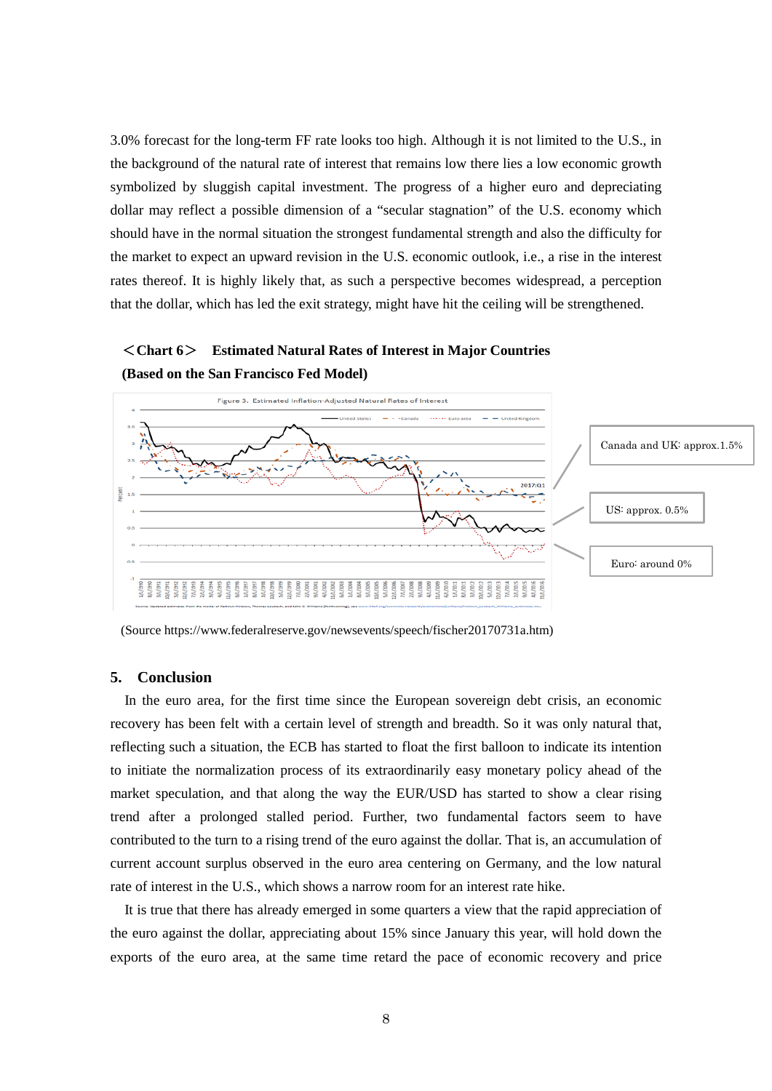3.0% forecast for the long-term FF rate looks too high. Although it is not limited to the U.S., in the background of the natural rate of interest that remains low there lies a low economic growth symbolized by sluggish capital investment. The progress of a higher euro and depreciating dollar may reflect a possible dimension of a "secular stagnation" of the U.S. economy which should have in the normal situation the strongest fundamental strength and also the difficulty for the market to expect an upward revision in the U.S. economic outlook, i.e., a rise in the interest rates thereof. It is highly likely that, as such a perspective becomes widespread, a perception that the dollar, which has led the exit strategy, might have hit the ceiling will be strengthened.

### <**Chart 6**> **Estimated Natural Rates of Interest in Major Countries (Based on the San Francisco Fed Model)**



(Source https://www.federalreserve.gov/newsevents/speech/fischer20170731a.htm)

#### **5. Conclusion**

In the euro area, for the first time since the European sovereign debt crisis, an economic recovery has been felt with a certain level of strength and breadth. So it was only natural that, reflecting such a situation, the ECB has started to float the first balloon to indicate its intention to initiate the normalization process of its extraordinarily easy monetary policy ahead of the market speculation, and that along the way the EUR/USD has started to show a clear rising trend after a prolonged stalled period. Further, two fundamental factors seem to have contributed to the turn to a rising trend of the euro against the dollar. That is, an accumulation of current account surplus observed in the euro area centering on Germany, and the low natural rate of interest in the U.S., which shows a narrow room for an interest rate hike.

It is true that there has already emerged in some quarters a view that the rapid appreciation of the euro against the dollar, appreciating about 15% since January this year, will hold down the exports of the euro area, at the same time retard the pace of economic recovery and price